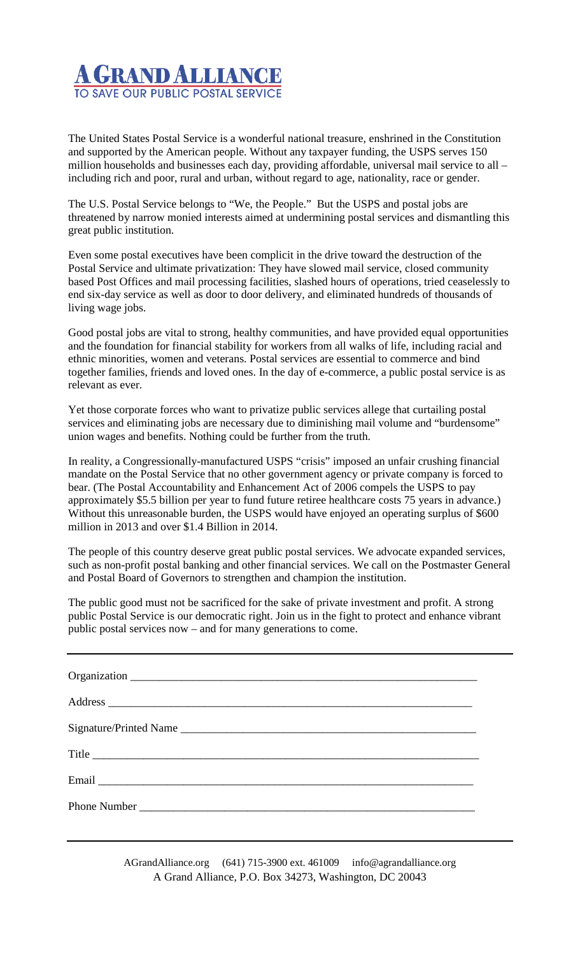

The United States Postal Service is a wonderful national treasure, enshrined in the Constitution and supported by the American people. Without any taxpayer funding, the USPS serves 150 million households and businesses each day, providing affordable, universal mail service to all – including rich and poor, rural and urban, without regard to age, nationality, race or gender.

The U.S. Postal Service belongs to "We, the People." But the USPS and postal jobs are threatened by narrow monied interests aimed at undermining postal services and dismantling this great public institution.

Even some postal executives have been complicit in the drive toward the destruction of the Postal Service and ultimate privatization: They have slowed mail service, closed community based Post Offices and mail processing facilities, slashed hours of operations, tried ceaselessly to end six-day service as well as door to door delivery, and eliminated hundreds of thousands of living wage jobs.

Good postal jobs are vital to strong, healthy communities, and have provided equal opportunities and the foundation for financial stability for workers from all walks of life, including racial and ethnic minorities, women and veterans. Postal services are essential to commerce and bind together families, friends and loved ones. In the day of e-commerce, a public postal service is as relevant as ever.

Yet those corporate forces who want to privatize public services allege that curtailing postal services and eliminating jobs are necessary due to diminishing mail volume and "burdensome" union wages and benefits. Nothing could be further from the truth.

In reality, a Congressionally-manufactured USPS "crisis" imposed an unfair crushing financial mandate on the Postal Service that no other government agency or private company is forced to bear. (The Postal Accountability and Enhancement Act of 2006 compels the USPS to pay approximately \$5.5 billion per year to fund future retiree healthcare costs 75 years in advance.) Without this unreasonable burden, the USPS would have enjoyed an operating surplus of \$600 million in 2013 and over \$1.4 Billion in 2014.

The people of this country deserve great public postal services. We advocate expanded services, such as non-profit postal banking and other financial services. We call on the Postmaster General and Postal Board of Governors to strengthen and champion the institution.

The public good must not be sacrificed for the sake of private investment and profit. A strong public Postal Service is our democratic right. Join us in the fight to protect and enhance vibrant public postal services now – and for many generations to come.

| Title |  |
|-------|--|
|       |  |
|       |  |

AGrandAlliance.org (641) 715-3900 ext. 461009 info@agrandalliance.org A Grand Alliance, P.O. Box 34273, Washington, DC 20043